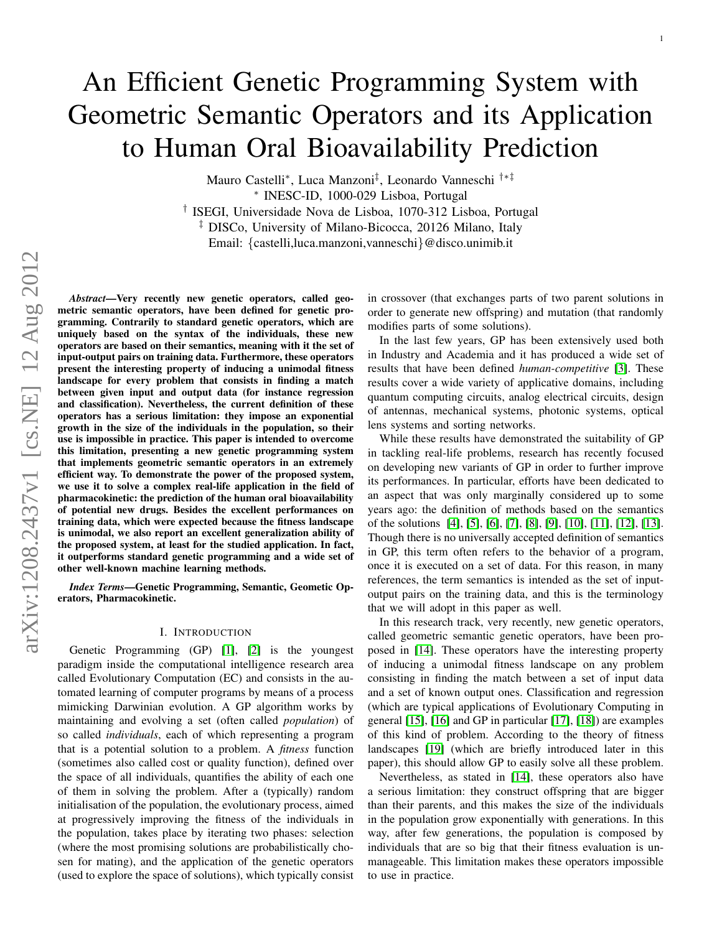# An Efficient Genetic Programming System with Geometric Semantic Operators and its Application to Human Oral Bioavailability Prediction

Mauro Castelli<sup>∗</sup> , Luca Manzoni‡ , Leonardo Vanneschi †∗‡ ∗ INESC-ID, 1000-029 Lisboa, Portugal

† ISEGI, Universidade Nova de Lisboa, 1070-312 Lisboa, Portugal ‡ DISCo, University of Milano-Bicocca, 20126 Milano, Italy

Email: {castelli,luca.manzoni,vanneschi}@disco.unimib.it

*Abstract*—Very recently new genetic operators, called geometric semantic operators, have been defined for genetic programming. Contrarily to standard genetic operators, which are uniquely based on the syntax of the individuals, these new operators are based on their semantics, meaning with it the set of input-output pairs on training data. Furthermore, these operators present the interesting property of inducing a unimodal fitness landscape for every problem that consists in finding a match between given input and output data (for instance regression and classification). Nevertheless, the current definition of these operators has a serious limitation: they impose an exponential growth in the size of the individuals in the population, so their use is impossible in practice. This paper is intended to overcome this limitation, presenting a new genetic programming system that implements geometric semantic operators in an extremely efficient way. To demonstrate the power of the proposed system, we use it to solve a complex real-life application in the field of pharmacokinetic: the prediction of the human oral bioavailability of potential new drugs. Besides the excellent performances on training data, which were expected because the fitness landscape is unimodal, we also report an excellent generalization ability of the proposed system, at least for the studied application. In fact, it outperforms standard genetic programming and a wide set of other well-known machine learning methods.

*Index Terms*—Genetic Programming, Semantic, Geometic Operators, Pharmacokinetic.

### I. INTRODUCTION

Genetic Programming (GP) [\[1\]](#page-7-0), [\[2\]](#page-7-1) is the youngest paradigm inside the computational intelligence research area called Evolutionary Computation (EC) and consists in the automated learning of computer programs by means of a process mimicking Darwinian evolution. A GP algorithm works by maintaining and evolving a set (often called *population*) of so called *individuals*, each of which representing a program that is a potential solution to a problem. A *fitness* function (sometimes also called cost or quality function), defined over the space of all individuals, quantifies the ability of each one of them in solving the problem. After a (typically) random initialisation of the population, the evolutionary process, aimed at progressively improving the fitness of the individuals in the population, takes place by iterating two phases: selection (where the most promising solutions are probabilistically chosen for mating), and the application of the genetic operators (used to explore the space of solutions), which typically consist in crossover (that exchanges parts of two parent solutions in order to generate new offspring) and mutation (that randomly modifies parts of some solutions).

1

In the last few years, GP has been extensively used both in Industry and Academia and it has produced a wide set of results that have been defined *human-competitive* [\[3\]](#page-7-2). These results cover a wide variety of applicative domains, including quantum computing circuits, analog electrical circuits, design of antennas, mechanical systems, photonic systems, optical lens systems and sorting networks.

While these results have demonstrated the suitability of GP in tackling real-life problems, research has recently focused on developing new variants of GP in order to further improve its performances. In particular, efforts have been dedicated to an aspect that was only marginally considered up to some years ago: the definition of methods based on the semantics of the solutions [\[4\]](#page-7-3), [\[5\]](#page-7-4), [\[6\]](#page-7-5), [\[7\]](#page-7-6), [\[8\]](#page-8-0), [\[9\]](#page-8-1), [\[10\]](#page-9-0), [\[11\]](#page-9-1), [\[12\]](#page-9-2), [\[13\]](#page-9-3). Though there is no universally accepted definition of semantics in GP, this term often refers to the behavior of a program, once it is executed on a set of data. For this reason, in many references, the term semantics is intended as the set of inputoutput pairs on the training data, and this is the terminology that we will adopt in this paper as well.

In this research track, very recently, new genetic operators, called geometric semantic genetic operators, have been proposed in [\[14\]](#page-9-4). These operators have the interesting property of inducing a unimodal fitness landscape on any problem consisting in finding the match between a set of input data and a set of known output ones. Classification and regression (which are typical applications of Evolutionary Computing in general [\[15\]](#page-9-5), [\[16\]](#page-9-6) and GP in particular [\[17\]](#page-9-7), [\[18\]](#page-9-8)) are examples of this kind of problem. According to the theory of fitness landscapes [\[19\]](#page-9-9) (which are briefly introduced later in this paper), this should allow GP to easily solve all these problem.

Nevertheless, as stated in [\[14\]](#page-9-4), these operators also have a serious limitation: they construct offspring that are bigger than their parents, and this makes the size of the individuals in the population grow exponentially with generations. In this way, after few generations, the population is composed by individuals that are so big that their fitness evaluation is unmanageable. This limitation makes these operators impossible to use in practice.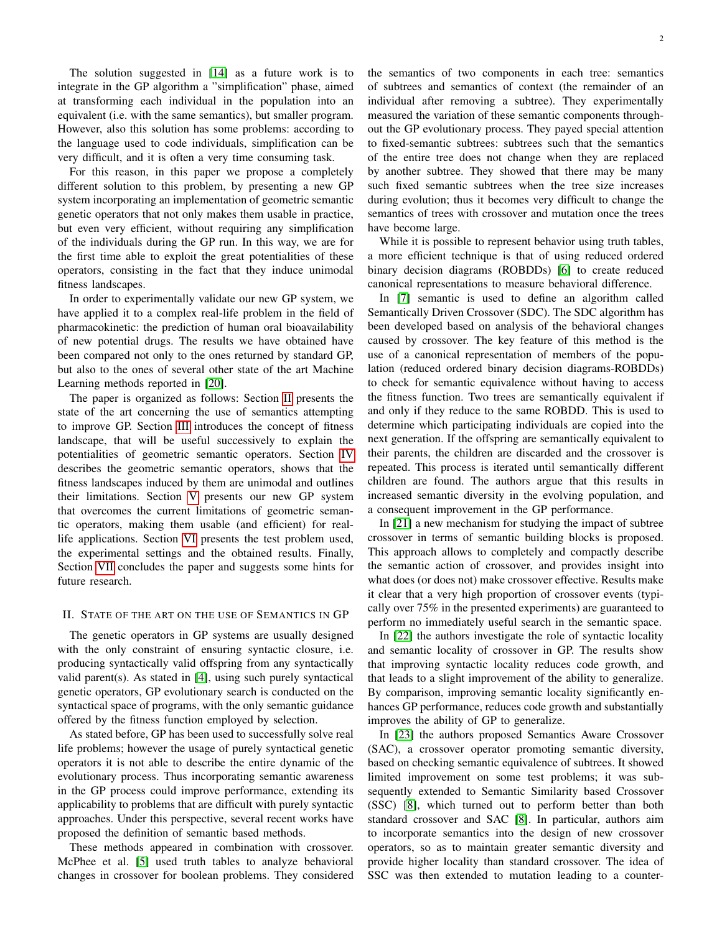The solution suggested in [\[14\]](#page-9-4) as a future work is to integrate in the GP algorithm a "simplification" phase, aimed at transforming each individual in the population into an equivalent (i.e. with the same semantics), but smaller program. However, also this solution has some problems: according to the language used to code individuals, simplification can be very difficult, and it is often a very time consuming task.

For this reason, in this paper we propose a completely different solution to this problem, by presenting a new GP system incorporating an implementation of geometric semantic genetic operators that not only makes them usable in practice, but even very efficient, without requiring any simplification of the individuals during the GP run. In this way, we are for the first time able to exploit the great potentialities of these operators, consisting in the fact that they induce unimodal fitness landscapes.

In order to experimentally validate our new GP system, we have applied it to a complex real-life problem in the field of pharmacokinetic: the prediction of human oral bioavailability of new potential drugs. The results we have obtained have been compared not only to the ones returned by standard GP, but also to the ones of several other state of the art Machine Learning methods reported in [\[20\]](#page-9-10).

The paper is organized as follows: Section [II](#page-1-0) presents the state of the art concerning the use of semantics attempting to improve GP. Section [III](#page-2-0) introduces the concept of fitness landscape, that will be useful successively to explain the potentialities of geometric semantic operators. Section [IV](#page-3-0) describes the geometric semantic operators, shows that the fitness landscapes induced by them are unimodal and outlines their limitations. Section [V](#page-3-1) presents our new GP system that overcomes the current limitations of geometric semantic operators, making them usable (and efficient) for reallife applications. Section [VI](#page-6-0) presents the test problem used, the experimental settings and the obtained results. Finally, Section [VII](#page-7-7) concludes the paper and suggests some hints for future research.

## <span id="page-1-0"></span>II. STATE OF THE ART ON THE USE OF SEMANTICS IN GP

The genetic operators in GP systems are usually designed with the only constraint of ensuring syntactic closure, *i.e.* producing syntactically valid offspring from any syntactically valid parent(s). As stated in [\[4\]](#page-7-3), using such purely syntactical genetic operators, GP evolutionary search is conducted on the syntactical space of programs, with the only semantic guidance offered by the fitness function employed by selection.

As stated before, GP has been used to successfully solve real life problems; however the usage of purely syntactical genetic operators it is not able to describe the entire dynamic of the evolutionary process. Thus incorporating semantic awareness in the GP process could improve performance, extending its applicability to problems that are difficult with purely syntactic approaches. Under this perspective, several recent works have proposed the definition of semantic based methods.

These methods appeared in combination with crossover. McPhee et al. [\[5\]](#page-7-4) used truth tables to analyze behavioral changes in crossover for boolean problems. They considered the semantics of two components in each tree: semantics of subtrees and semantics of context (the remainder of an individual after removing a subtree). They experimentally measured the variation of these semantic components throughout the GP evolutionary process. They payed special attention to fixed-semantic subtrees: subtrees such that the semantics of the entire tree does not change when they are replaced by another subtree. They showed that there may be many such fixed semantic subtrees when the tree size increases during evolution; thus it becomes very difficult to change the semantics of trees with crossover and mutation once the trees have become large.

While it is possible to represent behavior using truth tables, a more efficient technique is that of using reduced ordered binary decision diagrams (ROBDDs) [\[6\]](#page-7-5) to create reduced canonical representations to measure behavioral difference.

In [\[7\]](#page-7-6) semantic is used to define an algorithm called Semantically Driven Crossover (SDC). The SDC algorithm has been developed based on analysis of the behavioral changes caused by crossover. The key feature of this method is the use of a canonical representation of members of the population (reduced ordered binary decision diagrams-ROBDDs) to check for semantic equivalence without having to access the fitness function. Two trees are semantically equivalent if and only if they reduce to the same ROBDD. This is used to determine which participating individuals are copied into the next generation. If the offspring are semantically equivalent to their parents, the children are discarded and the crossover is repeated. This process is iterated until semantically different children are found. The authors argue that this results in increased semantic diversity in the evolving population, and a consequent improvement in the GP performance.

In [\[21\]](#page-9-11) a new mechanism for studying the impact of subtree crossover in terms of semantic building blocks is proposed. This approach allows to completely and compactly describe the semantic action of crossover, and provides insight into what does (or does not) make crossover effective. Results make it clear that a very high proportion of crossover events (typically over 75% in the presented experiments) are guaranteed to perform no immediately useful search in the semantic space.

In [\[22\]](#page-9-12) the authors investigate the role of syntactic locality and semantic locality of crossover in GP. The results show that improving syntactic locality reduces code growth, and that leads to a slight improvement of the ability to generalize. By comparison, improving semantic locality significantly enhances GP performance, reduces code growth and substantially improves the ability of GP to generalize.

In [\[23\]](#page-9-13) the authors proposed Semantics Aware Crossover (SAC), a crossover operator promoting semantic diversity, based on checking semantic equivalence of subtrees. It showed limited improvement on some test problems; it was subsequently extended to Semantic Similarity based Crossover (SSC) [\[8\]](#page-8-0), which turned out to perform better than both standard crossover and SAC [\[8\]](#page-8-0). In particular, authors aim to incorporate semantics into the design of new crossover operators, so as to maintain greater semantic diversity and provide higher locality than standard crossover. The idea of SSC was then extended to mutation leading to a counter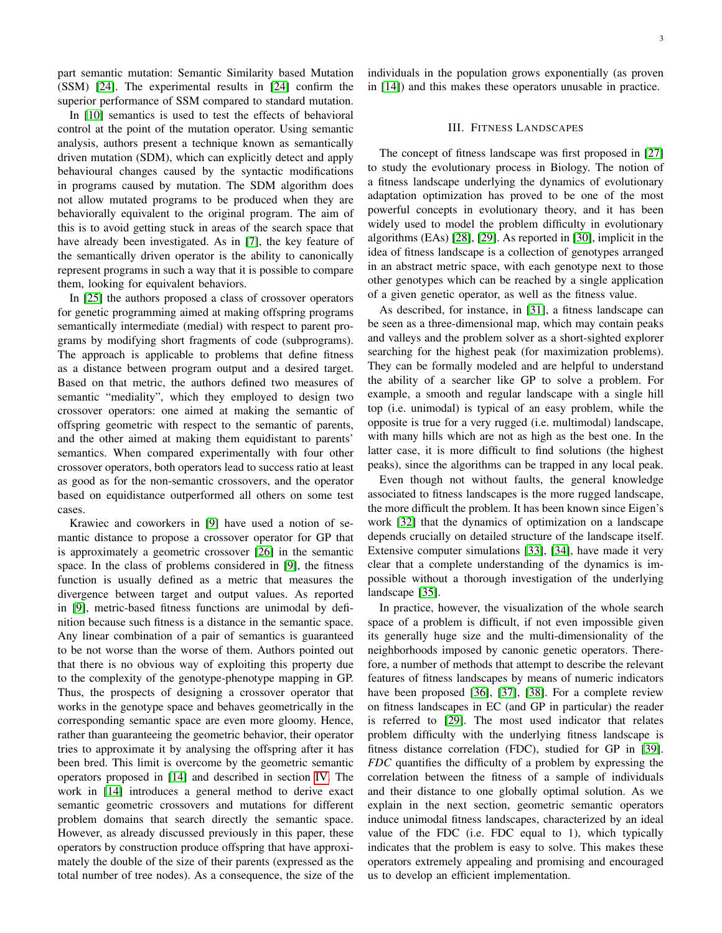part semantic mutation: Semantic Similarity based Mutation (SSM) [\[24\]](#page-9-14). The experimental results in [\[24\]](#page-9-14) confirm the superior performance of SSM compared to standard mutation.

In [\[10\]](#page-9-0) semantics is used to test the effects of behavioral control at the point of the mutation operator. Using semantic analysis, authors present a technique known as semantically driven mutation (SDM), which can explicitly detect and apply behavioural changes caused by the syntactic modifications in programs caused by mutation. The SDM algorithm does not allow mutated programs to be produced when they are behaviorally equivalent to the original program. The aim of this is to avoid getting stuck in areas of the search space that have already been investigated. As in [\[7\]](#page-7-6), the key feature of the semantically driven operator is the ability to canonically represent programs in such a way that it is possible to compare them, looking for equivalent behaviors.

In [\[25\]](#page-9-15) the authors proposed a class of crossover operators for genetic programming aimed at making offspring programs semantically intermediate (medial) with respect to parent programs by modifying short fragments of code (subprograms). The approach is applicable to problems that define fitness as a distance between program output and a desired target. Based on that metric, the authors defined two measures of semantic "mediality", which they employed to design two crossover operators: one aimed at making the semantic of offspring geometric with respect to the semantic of parents, and the other aimed at making them equidistant to parents' semantics. When compared experimentally with four other crossover operators, both operators lead to success ratio at least as good as for the non-semantic crossovers, and the operator based on equidistance outperformed all others on some test cases.

Krawiec and coworkers in [\[9\]](#page-8-1) have used a notion of semantic distance to propose a crossover operator for GP that is approximately a geometric crossover [\[26\]](#page-9-16) in the semantic space. In the class of problems considered in [\[9\]](#page-8-1), the fitness function is usually defined as a metric that measures the divergence between target and output values. As reported in [\[9\]](#page-8-1), metric-based fitness functions are unimodal by definition because such fitness is a distance in the semantic space. Any linear combination of a pair of semantics is guaranteed to be not worse than the worse of them. Authors pointed out that there is no obvious way of exploiting this property due to the complexity of the genotype-phenotype mapping in GP. Thus, the prospects of designing a crossover operator that works in the genotype space and behaves geometrically in the corresponding semantic space are even more gloomy. Hence, rather than guaranteeing the geometric behavior, their operator tries to approximate it by analysing the offspring after it has been bred. This limit is overcome by the geometric semantic operators proposed in [\[14\]](#page-9-4) and described in section [IV.](#page-3-0) The work in [\[14\]](#page-9-4) introduces a general method to derive exact semantic geometric crossovers and mutations for different problem domains that search directly the semantic space. However, as already discussed previously in this paper, these operators by construction produce offspring that have approximately the double of the size of their parents (expressed as the total number of tree nodes). As a consequence, the size of the individuals in the population grows exponentially (as proven in [\[14\]](#page-9-4)) and this makes these operators unusable in practice.

## III. FITNESS LANDSCAPES

<span id="page-2-0"></span>The concept of fitness landscape was first proposed in [\[27\]](#page-9-17) to study the evolutionary process in Biology. The notion of a fitness landscape underlying the dynamics of evolutionary adaptation optimization has proved to be one of the most powerful concepts in evolutionary theory, and it has been widely used to model the problem difficulty in evolutionary algorithms (EAs) [\[28\]](#page-9-18), [\[29\]](#page-9-19). As reported in [\[30\]](#page-9-20), implicit in the idea of fitness landscape is a collection of genotypes arranged in an abstract metric space, with each genotype next to those other genotypes which can be reached by a single application of a given genetic operator, as well as the fitness value.

As described, for instance, in [\[31\]](#page-9-21), a fitness landscape can be seen as a three-dimensional map, which may contain peaks and valleys and the problem solver as a short-sighted explorer searching for the highest peak (for maximization problems). They can be formally modeled and are helpful to understand the ability of a searcher like GP to solve a problem. For example, a smooth and regular landscape with a single hill top (i.e. unimodal) is typical of an easy problem, while the opposite is true for a very rugged (i.e. multimodal) landscape, with many hills which are not as high as the best one. In the latter case, it is more difficult to find solutions (the highest peaks), since the algorithms can be trapped in any local peak.

Even though not without faults, the general knowledge associated to fitness landscapes is the more rugged landscape, the more difficult the problem. It has been known since Eigen's work [\[32\]](#page-9-22) that the dynamics of optimization on a landscape depends crucially on detailed structure of the landscape itself. Extensive computer simulations [\[33\]](#page-9-23), [\[34\]](#page-9-24), have made it very clear that a complete understanding of the dynamics is impossible without a thorough investigation of the underlying landscape [\[35\]](#page-9-25).

In practice, however, the visualization of the whole search space of a problem is difficult, if not even impossible given its generally huge size and the multi-dimensionality of the neighborhoods imposed by canonic genetic operators. Therefore, a number of methods that attempt to describe the relevant features of fitness landscapes by means of numeric indicators have been proposed [\[36\]](#page-9-26), [\[37\]](#page-9-27), [\[38\]](#page-9-28). For a complete review on fitness landscapes in EC (and GP in particular) the reader is referred to [\[29\]](#page-9-19). The most used indicator that relates problem difficulty with the underlying fitness landscape is fitness distance correlation (FDC), studied for GP in [\[39\]](#page-9-29). *FDC* quantifies the difficulty of a problem by expressing the correlation between the fitness of a sample of individuals and their distance to one globally optimal solution. As we explain in the next section, geometric semantic operators induce unimodal fitness landscapes, characterized by an ideal value of the FDC (i.e. FDC equal to 1), which typically indicates that the problem is easy to solve. This makes these operators extremely appealing and promising and encouraged us to develop an efficient implementation.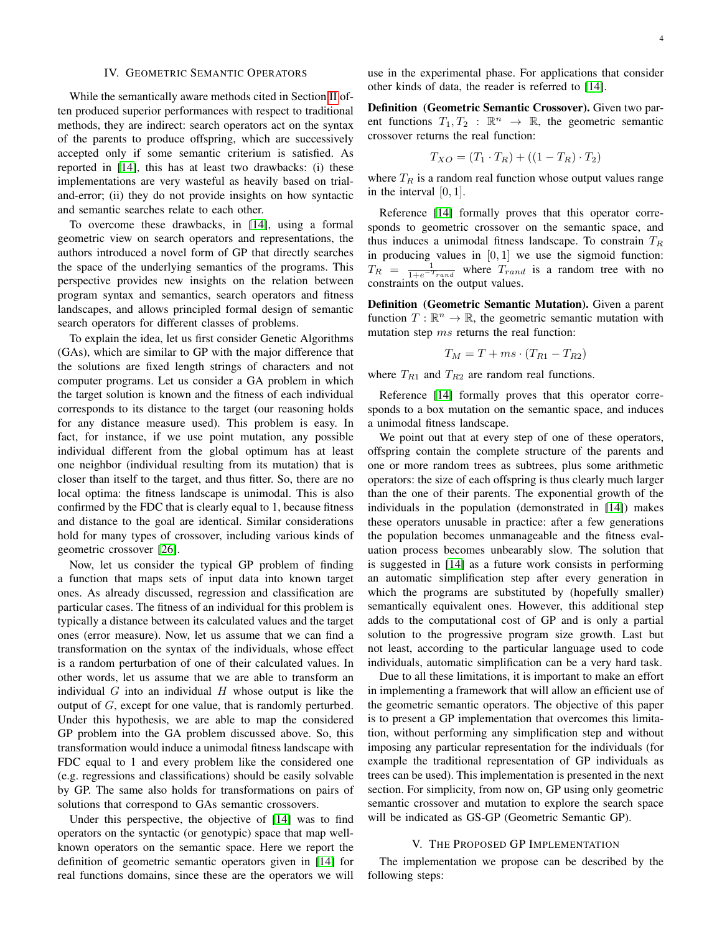# IV. GEOMETRIC SEMANTIC OPERATORS

<span id="page-3-0"></span>While the semantically aware methods cited in Section [II](#page-1-0) often produced superior performances with respect to traditional methods, they are indirect: search operators act on the syntax of the parents to produce offspring, which are successively accepted only if some semantic criterium is satisfied. As reported in [\[14\]](#page-9-4), this has at least two drawbacks: (i) these implementations are very wasteful as heavily based on trialand-error; (ii) they do not provide insights on how syntactic and semantic searches relate to each other.

To overcome these drawbacks, in [\[14\]](#page-9-4), using a formal geometric view on search operators and representations, the authors introduced a novel form of GP that directly searches the space of the underlying semantics of the programs. This perspective provides new insights on the relation between program syntax and semantics, search operators and fitness landscapes, and allows principled formal design of semantic search operators for different classes of problems.

To explain the idea, let us first consider Genetic Algorithms (GAs), which are similar to GP with the major difference that the solutions are fixed length strings of characters and not computer programs. Let us consider a GA problem in which the target solution is known and the fitness of each individual corresponds to its distance to the target (our reasoning holds for any distance measure used). This problem is easy. In fact, for instance, if we use point mutation, any possible individual different from the global optimum has at least one neighbor (individual resulting from its mutation) that is closer than itself to the target, and thus fitter. So, there are no local optima: the fitness landscape is unimodal. This is also confirmed by the FDC that is clearly equal to 1, because fitness and distance to the goal are identical. Similar considerations hold for many types of crossover, including various kinds of geometric crossover [\[26\]](#page-9-16).

Now, let us consider the typical GP problem of finding a function that maps sets of input data into known target ones. As already discussed, regression and classification are particular cases. The fitness of an individual for this problem is typically a distance between its calculated values and the target ones (error measure). Now, let us assume that we can find a transformation on the syntax of the individuals, whose effect is a random perturbation of one of their calculated values. In other words, let us assume that we are able to transform an individual  $G$  into an individual  $H$  whose output is like the output of G, except for one value, that is randomly perturbed. Under this hypothesis, we are able to map the considered GP problem into the GA problem discussed above. So, this transformation would induce a unimodal fitness landscape with FDC equal to 1 and every problem like the considered one (e.g. regressions and classifications) should be easily solvable by GP. The same also holds for transformations on pairs of solutions that correspond to GAs semantic crossovers.

Under this perspective, the objective of [\[14\]](#page-9-4) was to find operators on the syntactic (or genotypic) space that map wellknown operators on the semantic space. Here we report the definition of geometric semantic operators given in [\[14\]](#page-9-4) for real functions domains, since these are the operators we will use in the experimental phase. For applications that consider other kinds of data, the reader is referred to [\[14\]](#page-9-4).

Definition (Geometric Semantic Crossover). Given two parent functions  $T_1, T_2 : \mathbb{R}^n \to \mathbb{R}$ , the geometric semantic crossover returns the real function:

$$
T_{XO} = (T_1 \cdot T_R) + ((1 - T_R) \cdot T_2)
$$

where  $T_R$  is a random real function whose output values range in the interval  $[0, 1]$ .

Reference [\[14\]](#page-9-4) formally proves that this operator corresponds to geometric crossover on the semantic space, and thus induces a unimodal fitness landscape. To constrain  $T_R$ in producing values in  $[0, 1]$  we use the sigmoid function:  $T_R = \frac{1}{1+e^{-T_{rand}}}$  where  $T_{rand}$  is a random tree with no constraints on the output values.

Definition (Geometric Semantic Mutation). Given a parent function  $T: \mathbb{R}^n \to \mathbb{R}$ , the geometric semantic mutation with mutation step ms returns the real function:

$$
T_M = T + ms \cdot (T_{R1} - T_{R2})
$$

where  $T_{R1}$  and  $T_{R2}$  are random real functions.

Reference [\[14\]](#page-9-4) formally proves that this operator corresponds to a box mutation on the semantic space, and induces a unimodal fitness landscape.

We point out that at every step of one of these operators, offspring contain the complete structure of the parents and one or more random trees as subtrees, plus some arithmetic operators: the size of each offspring is thus clearly much larger than the one of their parents. The exponential growth of the individuals in the population (demonstrated in [\[14\]](#page-9-4)) makes these operators unusable in practice: after a few generations the population becomes unmanageable and the fitness evaluation process becomes unbearably slow. The solution that is suggested in [\[14\]](#page-9-4) as a future work consists in performing an automatic simplification step after every generation in which the programs are substituted by (hopefully smaller) semantically equivalent ones. However, this additional step adds to the computational cost of GP and is only a partial solution to the progressive program size growth. Last but not least, according to the particular language used to code individuals, automatic simplification can be a very hard task.

Due to all these limitations, it is important to make an effort in implementing a framework that will allow an efficient use of the geometric semantic operators. The objective of this paper is to present a GP implementation that overcomes this limitation, without performing any simplification step and without imposing any particular representation for the individuals (for example the traditional representation of GP individuals as trees can be used). This implementation is presented in the next section. For simplicity, from now on, GP using only geometric semantic crossover and mutation to explore the search space will be indicated as GS-GP (Geometric Semantic GP).

## V. THE PROPOSED GP IMPLEMENTATION

<span id="page-3-1"></span>The implementation we propose can be described by the following steps: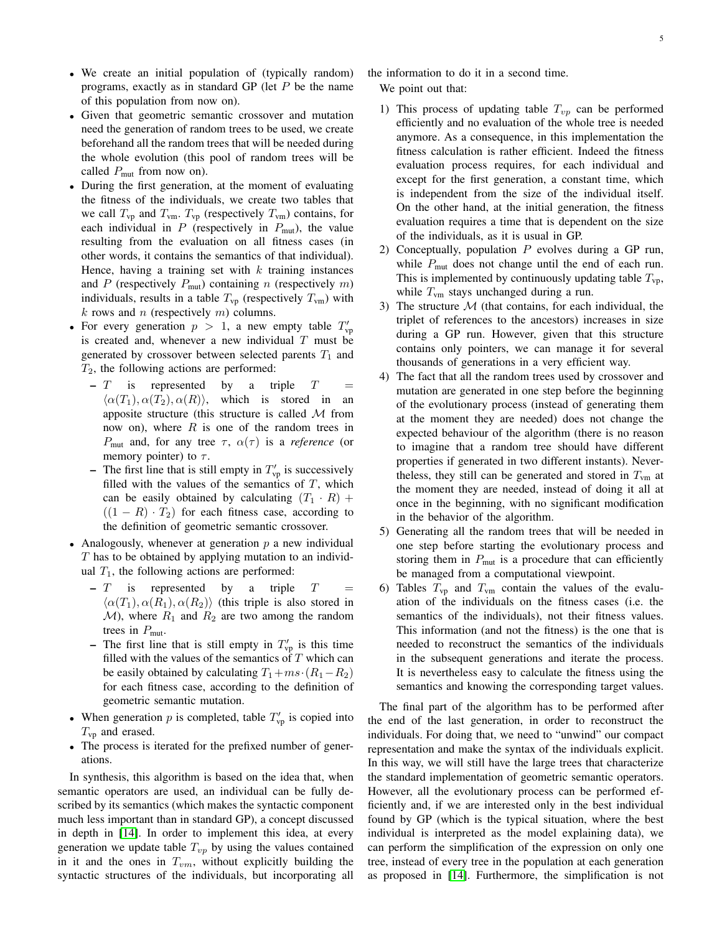- the information to do it in a second time.
- We create an initial population of (typically random) programs, exactly as in standard GP (let  $P$  be the name of this population from now on).
- Given that geometric semantic crossover and mutation need the generation of random trees to be used, we create beforehand all the random trees that will be needed during the whole evolution (this pool of random trees will be called  $P_{\text{mut}}$  from now on).
- During the first generation, at the moment of evaluating the fitness of the individuals, we create two tables that we call  $T_{vp}$  and  $T_{vm}$ .  $T_{vp}$  (respectively  $T_{vm}$ ) contains, for each individual in  $P$  (respectively in  $P_{\text{mut}}$ ), the value resulting from the evaluation on all fitness cases (in other words, it contains the semantics of that individual). Hence, having a training set with  $k$  training instances and  $P$  (respectively  $P_{mut}$ ) containing  $n$  (respectively  $m$ ) individuals, results in a table  $T_{vp}$  (respectively  $T_{vm}$ ) with  $k$  rows and  $n$  (respectively  $m$ ) columns.
- For every generation  $p > 1$ , a new empty table  $T'_{vp}$ is created and, whenever a new individual  $T$  must be generated by crossover between selected parents  $T_1$  and  $T_2$ , the following actions are performed:
	- $-T$  is represented by a triple  $T =$  $\langle \alpha(T_1), \alpha(T_2), \alpha(R) \rangle$ , which is stored in an apposite structure (this structure is called  $M$  from now on), where  $R$  is one of the random trees in  $P_{\text{mut}}$  and, for any tree  $\tau$ ,  $\alpha(\tau)$  is a *reference* (or memory pointer) to  $\tau$ .
	- The first line that is still empty in  $T'_{vp}$  is successively filled with the values of the semantics of  $T$ , which can be easily obtained by calculating  $(T_1 \cdot R)$  +  $((1 - R) \cdot T_2)$  for each fitness case, according to the definition of geometric semantic crossover.
- Analogously, whenever at generation  $p$  a new individual  $T$  has to be obtained by applying mutation to an individual  $T_1$ , the following actions are performed:
	- $-T$  is represented by a triple  $T$  $\langle \alpha(T_1), \alpha(R_1), \alpha(R_2) \rangle$  (this triple is also stored in  $\mathcal{M}$ ), where  $R_1$  and  $R_2$  are two among the random trees in  $P_{\text{mut}}$ .
	- The first line that is still empty in  $T'_{vp}$  is this time filled with the values of the semantics of  $T$  which can be easily obtained by calculating  $T_1+ms\cdot(R_1-R_2)$ for each fitness case, according to the definition of geometric semantic mutation.
- When generation p is completed, table  $T'_{vp}$  is copied into  $T_{\rm vp}$  and erased.
- The process is iterated for the prefixed number of generations.

In synthesis, this algorithm is based on the idea that, when semantic operators are used, an individual can be fully described by its semantics (which makes the syntactic component much less important than in standard GP), a concept discussed in depth in [\[14\]](#page-9-4). In order to implement this idea, at every generation we update table  $T_{vp}$  by using the values contained in it and the ones in  $T_{vm}$ , without explicitly building the syntactic structures of the individuals, but incorporating all We point out that:

- 1) This process of updating table  $T_{vp}$  can be performed efficiently and no evaluation of the whole tree is needed anymore. As a consequence, in this implementation the fitness calculation is rather efficient. Indeed the fitness evaluation process requires, for each individual and except for the first generation, a constant time, which is independent from the size of the individual itself. On the other hand, at the initial generation, the fitness evaluation requires a time that is dependent on the size of the individuals, as it is usual in GP.
- 2) Conceptually, population  $P$  evolves during a GP run, while  $P_{\text{mut}}$  does not change until the end of each run. This is implemented by continuously updating table  $T_{vp}$ , while  $T_{\text{vm}}$  stays unchanged during a run.
- 3) The structure  $M$  (that contains, for each individual, the triplet of references to the ancestors) increases in size during a GP run. However, given that this structure contains only pointers, we can manage it for several thousands of generations in a very efficient way.
- 4) The fact that all the random trees used by crossover and mutation are generated in one step before the beginning of the evolutionary process (instead of generating them at the moment they are needed) does not change the expected behaviour of the algorithm (there is no reason to imagine that a random tree should have different properties if generated in two different instants). Nevertheless, they still can be generated and stored in  $T_{\text{vm}}$  at the moment they are needed, instead of doing it all at once in the beginning, with no significant modification in the behavior of the algorithm.
- 5) Generating all the random trees that will be needed in one step before starting the evolutionary process and storing them in  $P_{\text{mut}}$  is a procedure that can efficiently be managed from a computational viewpoint.
- 6) Tables  $T_{vp}$  and  $T_{vm}$  contain the values of the evaluation of the individuals on the fitness cases (i.e. the semantics of the individuals), not their fitness values. This information (and not the fitness) is the one that is needed to reconstruct the semantics of the individuals in the subsequent generations and iterate the process. It is nevertheless easy to calculate the fitness using the semantics and knowing the corresponding target values.

The final part of the algorithm has to be performed after the end of the last generation, in order to reconstruct the individuals. For doing that, we need to "unwind" our compact representation and make the syntax of the individuals explicit. In this way, we will still have the large trees that characterize the standard implementation of geometric semantic operators. However, all the evolutionary process can be performed efficiently and, if we are interested only in the best individual found by GP (which is the typical situation, where the best individual is interpreted as the model explaining data), we can perform the simplification of the expression on only one tree, instead of every tree in the population at each generation as proposed in [\[14\]](#page-9-4). Furthermore, the simplification is not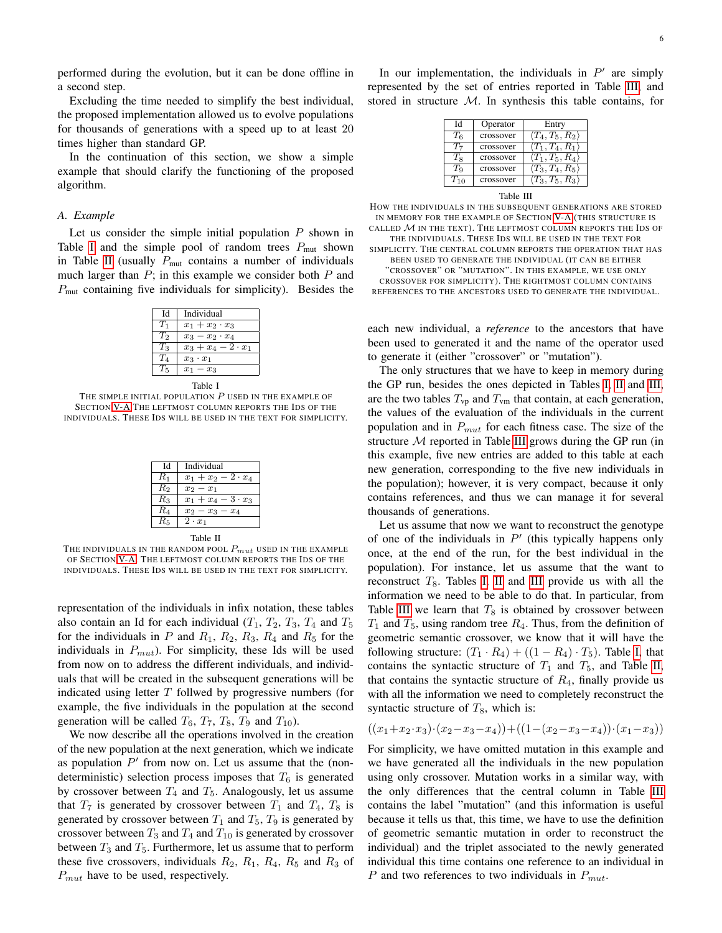performed during the evolution, but it can be done offline in a second step.

Excluding the time needed to simplify the best individual, the proposed implementation allowed us to evolve populations for thousands of generations with a speed up to at least 20 times higher than standard GP.

In the continuation of this section, we show a simple example that should clarify the functioning of the proposed algorithm.

### <span id="page-5-2"></span>*A. Example*

Let us consider the simple initial population  $P$  shown in Table [I](#page-5-0) and the simple pool of random trees  $P_{\text{mut}}$  shown in Table [II](#page-5-1) (usually  $P_{\text{mut}}$  contains a number of individuals much larger than  $P$ ; in this example we consider both  $P$  and  $P<sub>mut</sub>$  containing five individuals for simplicity). Besides the

| Id      | Individual                |  |  |
|---------|---------------------------|--|--|
| $T_1$   | $x_1 + x_2 \cdot x_3$     |  |  |
| $T_2$   | $x_3 - x_2 \cdot x_4$     |  |  |
| $T_3$   | $x_3 + x_4 - 2 \cdot x_1$ |  |  |
| $T_4$   | $x_3 \cdot x_1$           |  |  |
| $T_5$   | $x_1 - x_3$               |  |  |
| Table I |                           |  |  |

<span id="page-5-0"></span>THE SIMPLE INITIAL POPULATION  $P$  used in the example of SECTION [V-A](#page-5-2) THE LEFTMOST COLUMN REPORTS THE IDS OF THE INDIVIDUALS. THESE IDS WILL BE USED IN THE TEXT FOR SIMPLICITY.

| Ъł             | Individual                |  |
|----------------|---------------------------|--|
| $R_1$          | $x_1 + x_2 - 2 \cdot x_4$ |  |
| R <sub>2</sub> | $x_2 - x_1$               |  |
| $R_3$          | $x_1 + x_4 - 3 \cdot x_3$ |  |
| $R_4$          | $x_2 - x_3 - x_4$         |  |
| $R_5$          | $2 \cdot x_1$             |  |
| Table II       |                           |  |

<span id="page-5-1"></span>THE INDIVIDUALS IN THE RANDOM POOL  $P_{mut}$  used in the example OF SECTION [V-A.](#page-5-2) THE LEFTMOST COLUMN REPORTS THE IDS OF THE INDIVIDUALS. THESE IDS WILL BE USED IN THE TEXT FOR SIMPLICITY.

representation of the individuals in infix notation, these tables also contain an Id for each individual  $(T_1, T_2, T_3, T_4$  and  $T_5$ for the individuals in P and  $R_1$ ,  $R_2$ ,  $R_3$ ,  $R_4$  and  $R_5$  for the individuals in  $P_{mut}$ ). For simplicity, these Ids will be used from now on to address the different individuals, and individuals that will be created in the subsequent generations will be indicated using letter  $T$  follwed by progressive numbers (for example, the five individuals in the population at the second generation will be called  $T_6$ ,  $T_7$ ,  $T_8$ ,  $T_9$  and  $T_{10}$ ).

We now describe all the operations involved in the creation of the new population at the next generation, which we indicate as population  $P'$  from now on. Let us assume that the (nondeterministic) selection process imposes that  $T_6$  is generated by crossover between  $T_4$  and  $T_5$ . Analogously, let us assume that  $T_7$  is generated by crossover between  $T_1$  and  $T_4$ ,  $T_8$  is generated by crossover between  $T_1$  and  $T_5$ ,  $T_9$  is generated by crossover between  $T_3$  and  $T_4$  and  $T_{10}$  is generated by crossover between  $T_3$  and  $T_5$ . Furthermore, let us assume that to perform these five crossovers, individuals  $R_2$ ,  $R_1$ ,  $R_4$ ,  $R_5$  and  $R_3$  of  $P_{mut}$  have to be used, respectively.

In our implementation, the individuals in  $P'$  are simply represented by the set of entries reported in Table [III,](#page-5-3) and stored in structure  $M$ . In synthesis this table contains, for

| ЪI             | Operator  | Entry                           |
|----------------|-----------|---------------------------------|
| $T_6$          | crossover | $\langle T_4,T_5,R_2\rangle$    |
| T7             | crossover | $\langle T_1, T_4, R_1 \rangle$ |
| Тs             | crossover | $\langle T_1, T_5, R_4 \rangle$ |
| T <sub>o</sub> | crossover | $\langle T_3,T_4,R_5\rangle$    |
| $T_{10}$       | crossover | $\langle T_3,T_5,R_3\rangle$    |

Table III

<span id="page-5-3"></span>HOW THE INDIVIDUALS IN THE SUBSEQUENT GENERATIONS ARE STORED IN MEMORY FOR THE EXAMPLE OF SECTION [V-A](#page-5-2) (THIS STRUCTURE IS CALLED  $M$  IN THE TEXT). THE LEFTMOST COLUMN REPORTS THE IDS OF

THE INDIVIDUALS. THESE IDS WILL BE USED IN THE TEXT FOR SIMPLICITY. THE CENTRAL COLUMN REPORTS THE OPERATION THAT HAS BEEN USED TO GENERATE THE INDIVIDUAL (IT CAN BE EITHER

"CROSSOVER" OR "MUTATION". IN THIS EXAMPLE, WE USE ONLY CROSSOVER FOR SIMPLICITY). THE RIGHTMOST COLUMN CONTAINS REFERENCES TO THE ANCESTORS USED TO GENERATE THE INDIVIDUAL.

each new individual, a *reference* to the ancestors that have been used to generated it and the name of the operator used to generate it (either "crossover" or "mutation").

The only structures that we have to keep in memory during the GP run, besides the ones depicted in Tables [I,](#page-5-0) [II](#page-5-1) and [III,](#page-5-3) are the two tables  $T_{vp}$  and  $T_{vm}$  that contain, at each generation, the values of the evaluation of the individuals in the current population and in  $P_{mut}$  for each fitness case. The size of the structure  $M$  reported in Table [III](#page-5-3) grows during the GP run (in this example, five new entries are added to this table at each new generation, corresponding to the five new individuals in the population); however, it is very compact, because it only contains references, and thus we can manage it for several thousands of generations.

Let us assume that now we want to reconstruct the genotype of one of the individuals in  $P'$  (this typically happens only once, at the end of the run, for the best individual in the population). For instance, let us assume that the want to reconstruct  $T_8$ . Tables [I,](#page-5-0) [II](#page-5-1) and [III](#page-5-3) provide us with all the information we need to be able to do that. In particular, from Table [III](#page-5-3) we learn that  $T_8$  is obtained by crossover between  $T_1$  and  $T_5$ , using random tree  $R_4$ . Thus, from the definition of geometric semantic crossover, we know that it will have the following structure:  $(T_1 \cdot R_4) + ((1 - R_4) \cdot T_5)$ . Table [I,](#page-5-0) that contains the syntactic structure of  $T_1$  and  $T_5$ , and Table [II,](#page-5-1) that contains the syntactic structure of  $R_4$ , finally provide us with all the information we need to completely reconstruct the syntactic structure of  $T_8$ , which is:

$$
((x_1+x_2\cdot x_3)\cdot (x_2-x_3-x_4)) + ((1-(x_2-x_3-x_4))\cdot (x_1-x_3))
$$

For simplicity, we have omitted mutation in this example and we have generated all the individuals in the new population using only crossover. Mutation works in a similar way, with the only differences that the central column in Table [III](#page-5-3) contains the label "mutation" (and this information is useful because it tells us that, this time, we have to use the definition of geometric semantic mutation in order to reconstruct the individual) and the triplet associated to the newly generated individual this time contains one reference to an individual in P and two references to two individuals in  $P_{mut}$ .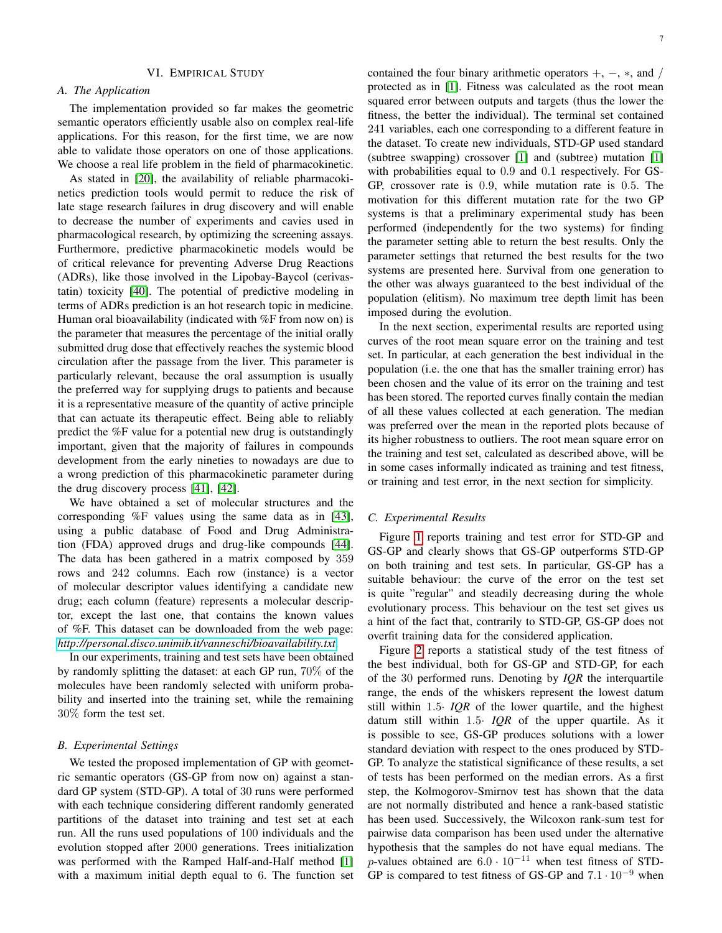# VI. EMPIRICAL STUDY

# <span id="page-6-0"></span>*A. The Application*

The implementation provided so far makes the geometric semantic operators efficiently usable also on complex real-life applications. For this reason, for the first time, we are now able to validate those operators on one of those applications. We choose a real life problem in the field of pharmacokinetic.

As stated in [\[20\]](#page-9-10), the availability of reliable pharmacokinetics prediction tools would permit to reduce the risk of late stage research failures in drug discovery and will enable to decrease the number of experiments and cavies used in pharmacological research, by optimizing the screening assays. Furthermore, predictive pharmacokinetic models would be of critical relevance for preventing Adverse Drug Reactions (ADRs), like those involved in the Lipobay-Baycol (cerivastatin) toxicity [\[40\]](#page-9-30). The potential of predictive modeling in terms of ADRs prediction is an hot research topic in medicine. Human oral bioavailability (indicated with %F from now on) is the parameter that measures the percentage of the initial orally submitted drug dose that effectively reaches the systemic blood circulation after the passage from the liver. This parameter is particularly relevant, because the oral assumption is usually the preferred way for supplying drugs to patients and because it is a representative measure of the quantity of active principle that can actuate its therapeutic effect. Being able to reliably predict the %F value for a potential new drug is outstandingly important, given that the majority of failures in compounds development from the early nineties to nowadays are due to a wrong prediction of this pharmacokinetic parameter during the drug discovery process [\[41\]](#page-9-31), [\[42\]](#page-9-32).

We have obtained a set of molecular structures and the corresponding %F values using the same data as in [\[43\]](#page-9-33), using a public database of Food and Drug Administration (FDA) approved drugs and drug-like compounds [\[44\]](#page-9-34). The data has been gathered in a matrix composed by 359 rows and 242 columns. Each row (instance) is a vector of molecular descriptor values identifying a candidate new drug; each column (feature) represents a molecular descriptor, except the last one, that contains the known values of %F. This dataset can be downloaded from the web page: *<http://personal.disco.unimib.it/vanneschi/bioavailability.txt>*.

In our experiments, training and test sets have been obtained by randomly splitting the dataset: at each GP run, 70% of the molecules have been randomly selected with uniform probability and inserted into the training set, while the remaining 30% form the test set.

### *B. Experimental Settings*

We tested the proposed implementation of GP with geometric semantic operators (GS-GP from now on) against a standard GP system (STD-GP). A total of 30 runs were performed with each technique considering different randomly generated partitions of the dataset into training and test set at each run. All the runs used populations of 100 individuals and the evolution stopped after 2000 generations. Trees initialization was performed with the Ramped Half-and-Half method [\[1\]](#page-7-0) with a maximum initial depth equal to 6. The function set contained the four binary arithmetic operators  $+$ ,  $-$ ,  $*$ , and  $/$ protected as in [\[1\]](#page-7-0). Fitness was calculated as the root mean squared error between outputs and targets (thus the lower the fitness, the better the individual). The terminal set contained 241 variables, each one corresponding to a different feature in the dataset. To create new individuals, STD-GP used standard (subtree swapping) crossover [\[1\]](#page-7-0) and (subtree) mutation [\[1\]](#page-7-0) with probabilities equal to 0.9 and 0.1 respectively. For GS-GP, crossover rate is 0.9, while mutation rate is 0.5. The motivation for this different mutation rate for the two GP systems is that a preliminary experimental study has been performed (independently for the two systems) for finding the parameter setting able to return the best results. Only the parameter settings that returned the best results for the two systems are presented here. Survival from one generation to the other was always guaranteed to the best individual of the population (elitism). No maximum tree depth limit has been imposed during the evolution.

In the next section, experimental results are reported using curves of the root mean square error on the training and test set. In particular, at each generation the best individual in the population (i.e. the one that has the smaller training error) has been chosen and the value of its error on the training and test has been stored. The reported curves finally contain the median of all these values collected at each generation. The median was preferred over the mean in the reported plots because of its higher robustness to outliers. The root mean square error on the training and test set, calculated as described above, will be in some cases informally indicated as training and test fitness, or training and test error, in the next section for simplicity.

## *C. Experimental Results*

Figure [1](#page-8-2) reports training and test error for STD-GP and GS-GP and clearly shows that GS-GP outperforms STD-GP on both training and test sets. In particular, GS-GP has a suitable behaviour: the curve of the error on the test set is quite "regular" and steadily decreasing during the whole evolutionary process. This behaviour on the test set gives us a hint of the fact that, contrarily to STD-GP, GS-GP does not overfit training data for the considered application.

Figure [2](#page-8-3) reports a statistical study of the test fitness of the best individual, both for GS-GP and STD-GP, for each of the 30 performed runs. Denoting by *IQR* the interquartile range, the ends of the whiskers represent the lowest datum still within 1.5· *IQR* of the lower quartile, and the highest datum still within 1.5· *IQR* of the upper quartile. As it is possible to see, GS-GP produces solutions with a lower standard deviation with respect to the ones produced by STD-GP. To analyze the statistical significance of these results, a set of tests has been performed on the median errors. As a first step, the Kolmogorov-Smirnov test has shown that the data are not normally distributed and hence a rank-based statistic has been used. Successively, the Wilcoxon rank-sum test for pairwise data comparison has been used under the alternative hypothesis that the samples do not have equal medians. The p-values obtained are  $6.0 \cdot 10^{-11}$  when test fitness of STD-GP is compared to test fitness of GS-GP and  $7.1 \cdot 10^{-9}$  when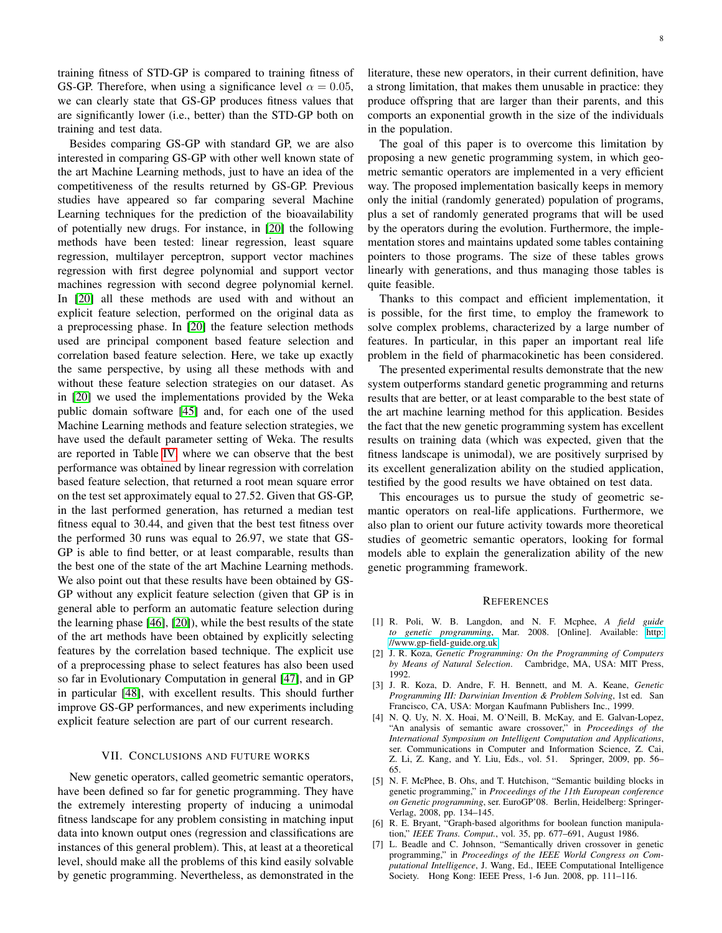training fitness of STD-GP is compared to training fitness of GS-GP. Therefore, when using a significance level  $\alpha = 0.05$ , we can clearly state that GS-GP produces fitness values that are significantly lower (i.e., better) than the STD-GP both on training and test data.

Besides comparing GS-GP with standard GP, we are also interested in comparing GS-GP with other well known state of the art Machine Learning methods, just to have an idea of the competitiveness of the results returned by GS-GP. Previous studies have appeared so far comparing several Machine Learning techniques for the prediction of the bioavailability of potentially new drugs. For instance, in [\[20\]](#page-9-10) the following methods have been tested: linear regression, least square regression, multilayer perceptron, support vector machines regression with first degree polynomial and support vector machines regression with second degree polynomial kernel. In [\[20\]](#page-9-10) all these methods are used with and without an explicit feature selection, performed on the original data as a preprocessing phase. In [\[20\]](#page-9-10) the feature selection methods used are principal component based feature selection and correlation based feature selection. Here, we take up exactly the same perspective, by using all these methods with and without these feature selection strategies on our dataset. As in [\[20\]](#page-9-10) we used the implementations provided by the Weka public domain software [\[45\]](#page-9-35) and, for each one of the used Machine Learning methods and feature selection strategies, we have used the default parameter setting of Weka. The results are reported in Table [IV,](#page-8-4) where we can observe that the best performance was obtained by linear regression with correlation based feature selection, that returned a root mean square error on the test set approximately equal to 27.52. Given that GS-GP, in the last performed generation, has returned a median test fitness equal to 30.44, and given that the best test fitness over the performed 30 runs was equal to 26.97, we state that GS-GP is able to find better, or at least comparable, results than the best one of the state of the art Machine Learning methods. We also point out that these results have been obtained by GS-GP without any explicit feature selection (given that GP is in general able to perform an automatic feature selection during the learning phase [\[46\]](#page-9-36), [\[20\]](#page-9-10)), while the best results of the state of the art methods have been obtained by explicitly selecting features by the correlation based technique. The explicit use of a preprocessing phase to select features has also been used so far in Evolutionary Computation in general [\[47\]](#page-9-37), and in GP in particular [\[48\]](#page-9-38), with excellent results. This should further improve GS-GP performances, and new experiments including explicit feature selection are part of our current research.

# VII. CONCLUSIONS AND FUTURE WORKS

<span id="page-7-7"></span>New genetic operators, called geometric semantic operators, have been defined so far for genetic programming. They have the extremely interesting property of inducing a unimodal fitness landscape for any problem consisting in matching input data into known output ones (regression and classifications are instances of this general problem). This, at least at a theoretical level, should make all the problems of this kind easily solvable by genetic programming. Nevertheless, as demonstrated in the literature, these new operators, in their current definition, have a strong limitation, that makes them unusable in practice: they produce offspring that are larger than their parents, and this comports an exponential growth in the size of the individuals in the population.

The goal of this paper is to overcome this limitation by proposing a new genetic programming system, in which geometric semantic operators are implemented in a very efficient way. The proposed implementation basically keeps in memory only the initial (randomly generated) population of programs, plus a set of randomly generated programs that will be used by the operators during the evolution. Furthermore, the implementation stores and maintains updated some tables containing pointers to those programs. The size of these tables grows linearly with generations, and thus managing those tables is quite feasible.

Thanks to this compact and efficient implementation, it is possible, for the first time, to employ the framework to solve complex problems, characterized by a large number of features. In particular, in this paper an important real life problem in the field of pharmacokinetic has been considered.

The presented experimental results demonstrate that the new system outperforms standard genetic programming and returns results that are better, or at least comparable to the best state of the art machine learning method for this application. Besides the fact that the new genetic programming system has excellent results on training data (which was expected, given that the fitness landscape is unimodal), we are positively surprised by its excellent generalization ability on the studied application, testified by the good results we have obtained on test data.

This encourages us to pursue the study of geometric semantic operators on real-life applications. Furthermore, we also plan to orient our future activity towards more theoretical studies of geometric semantic operators, looking for formal models able to explain the generalization ability of the new genetic programming framework.

## **REFERENCES**

- <span id="page-7-0"></span>[1] R. Poli, W. B. Langdon, and N. F. Mcphee, *A field guide to genetic programming*, Mar. 2008. [Online]. Available: [http:](http://www.gp-field-guide.org.uk) [//www.gp-field-guide.org.uk](http://www.gp-field-guide.org.uk)
- <span id="page-7-1"></span>[2] J. R. Koza, *Genetic Programming: On the Programming of Computers by Means of Natural Selection*. Cambridge, MA, USA: MIT Press, 1992.
- <span id="page-7-2"></span>[3] J. R. Koza, D. Andre, F. H. Bennett, and M. A. Keane, *Genetic Programming III: Darwinian Invention & Problem Solving*, 1st ed. San Francisco, CA, USA: Morgan Kaufmann Publishers Inc., 1999.
- <span id="page-7-3"></span>[4] N. Q. Uy, N. X. Hoai, M. O'Neill, B. McKay, and E. Galvan-Lopez, "An analysis of semantic aware crossover," in *Proceedings of the International Symposium on Intelligent Computation and Applications*, ser. Communications in Computer and Information Science, Z. Cai, Z. Li, Z. Kang, and Y. Liu, Eds., vol. 51. Springer, 2009, pp. 56– 65.
- <span id="page-7-4"></span>[5] N. F. McPhee, B. Ohs, and T. Hutchison, "Semantic building blocks in genetic programming," in *Proceedings of the 11th European conference on Genetic programming*, ser. EuroGP'08. Berlin, Heidelberg: Springer-Verlag, 2008, pp. 134–145.
- <span id="page-7-5"></span>[6] R. E. Bryant, "Graph-based algorithms for boolean function manipulation," *IEEE Trans. Comput.*, vol. 35, pp. 677–691, August 1986.
- <span id="page-7-6"></span>[7] L. Beadle and C. Johnson, "Semantically driven crossover in genetic programming," in *Proceedings of the IEEE World Congress on Computational Intelligence*, J. Wang, Ed., IEEE Computational Intelligence Society. Hong Kong: IEEE Press, 1-6 Jun. 2008, pp. 111–116.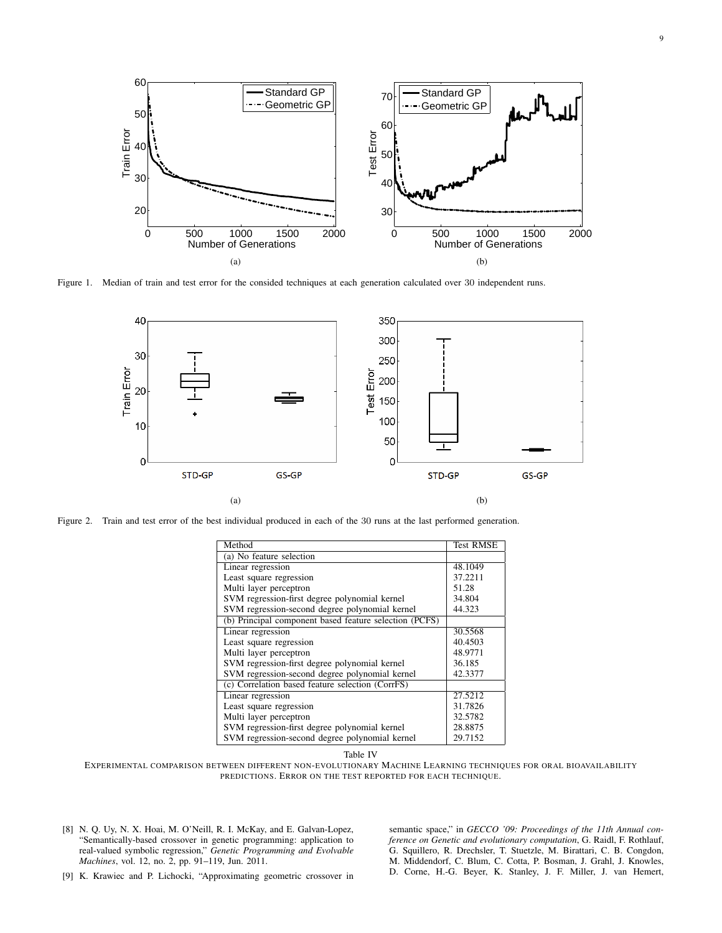

Figure 1. Median of train and test error for the consided techniques at each generation calculated over 30 independent runs.

<span id="page-8-2"></span>

<span id="page-8-3"></span>Figure 2. Train and test error of the best individual produced in each of the 30 runs at the last performed generation.

| Method                                                 | <b>Test RMSE</b> |
|--------------------------------------------------------|------------------|
| (a) No feature selection                               |                  |
| Linear regression                                      | 48.1049          |
| Least square regression                                | 37.2211          |
| Multi layer perceptron                                 | 51.28            |
| SVM regression-first degree polynomial kernel          | 34.804           |
| SVM regression-second degree polynomial kernel         | 44.323           |
| (b) Principal component based feature selection (PCFS) |                  |
| Linear regression                                      | 30.5568          |
| Least square regression                                | 40.4503          |
| Multi layer perceptron                                 | 48.9771          |
| SVM regression-first degree polynomial kernel          | 36.185           |
| SVM regression-second degree polynomial kernel         | 42.3377          |
| (c) Correlation based feature selection (CorrFS)       |                  |
| Linear regression                                      | 27.5212          |
| Least square regression                                | 31.7826          |
| Multi layer perceptron                                 | 32.5782          |
| SVM regression-first degree polynomial kernel          | 28.8875          |
| SVM regression-second degree polynomial kernel         | 29.7152          |

Table IV

<span id="page-8-4"></span>EXPERIMENTAL COMPARISON BETWEEN DIFFERENT NON-EVOLUTIONARY MACHINE LEARNING TECHNIQUES FOR ORAL BIOAVAILABILITY PREDICTIONS. ERROR ON THE TEST REPORTED FOR EACH TECHNIQUE.

<span id="page-8-0"></span>[8] N. Q. Uy, N. X. Hoai, M. O'Neill, R. I. McKay, and E. Galvan-Lopez, "Semantically-based crossover in genetic programming: application to real-valued symbolic regression," *Genetic Programming and Evolvable Machines*, vol. 12, no. 2, pp. 91–119, Jun. 2011.

semantic space," in *GECCO '09: Proceedings of the 11th Annual conference on Genetic and evolutionary computation*, G. Raidl, F. Rothlauf, G. Squillero, R. Drechsler, T. Stuetzle, M. Birattari, C. B. Congdon, M. Middendorf, C. Blum, C. Cotta, P. Bosman, J. Grahl, J. Knowles, D. Corne, H.-G. Beyer, K. Stanley, J. F. Miller, J. van Hemert,

<span id="page-8-1"></span>[9] K. Krawiec and P. Lichocki, "Approximating geometric crossover in